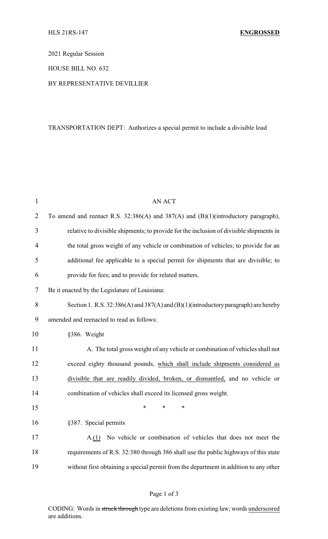2021 Regular Session

HOUSE BILL NO. 632

## BY REPRESENTATIVE DEVILLIER

## TRANSPORTATION DEPT: Authorizes a special permit to include a divisible load

| $\mathbf{1}$   | <b>AN ACT</b>                                                                             |
|----------------|-------------------------------------------------------------------------------------------|
| $\overline{2}$ | To amend and reenact R.S. 32:386(A) and 387(A) and (B)(1)(introductory paragraph),        |
| 3              | relative to divisible shipments; to provide for the inclusion of divisible shipments in   |
| $\overline{4}$ | the total gross weight of any vehicle or combination of vehicles; to provide for an       |
| 5              | additional fee applicable to a special permit for shipments that are divisible; to        |
| 6              | provide for fees; and to provide for related matters.                                     |
| 7              | Be it enacted by the Legislature of Louisiana:                                            |
| 8              | Section 1. R.S. $32:386(A)$ and $387(A)$ and $(B)(1)$ (introductory paragraph) are hereby |
| 9              | amended and reenacted to read as follows:                                                 |
| 10             | §386. Weight                                                                              |
| 11             | A. The total gross weight of any vehicle or combination of vehicles shall not             |
| 12             | exceed eighty thousand pounds, which shall include shipments considered as                |
| 13             | divisible that are readily divided, broken, or dismantled, and no vehicle or              |
| 14             | combination of vehicles shall exceed its licensed gross weight.                           |
| 15             | *<br>$\ast$<br>*                                                                          |
| 16             | §387. Special permits                                                                     |
| 17             | A.(1) No vehicle or combination of vehicles that does not meet the                        |
| 18             | requirements of R.S. 32:380 through 386 shall use the public highways of this state       |
| 19             | without first obtaining a special permit from the department in addition to any other     |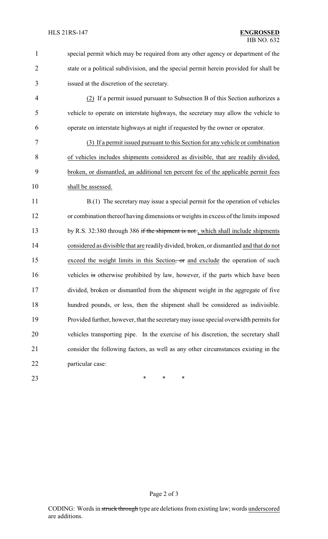| special permit which may be required from any other agency or department of the       |
|---------------------------------------------------------------------------------------|
| state or a political subdivision, and the special permit herein provided for shall be |
| issued at the discretion of the secretary.                                            |

 (2) If a permit issued pursuant to Subsection B of this Section authorizes a vehicle to operate on interstate highways, the secretary may allow the vehicle to operate on interstate highways at night if requested by the owner or operator.

 (3) If a permit issued pursuant to this Section for any vehicle or combination of vehicles includes shipments considered as divisible, that are readily divided, broken, or dismantled, an additional ten percent fee of the applicable permit fees 10 shall be assessed.

11 B.(1) The secretary may issue a special permit for the operation of vehicles or combination thereof having dimensions or weights in excess of the limits imposed 13 by R.S. 32:380 through 386 if the shipment is not, which shall include shipments considered as divisible that are readily divided, broken, or dismantled and that do not 15 exceed the weight limits in this Section, or and exclude the operation of such 16 vehicles is otherwise prohibited by law, however, if the parts which have been divided, broken or dismantled from the shipment weight in the aggregate of five hundred pounds, or less, then the shipment shall be considered as indivisible. Provided further, however, that the secretarymay issue special overwidth permits for vehicles transporting pipe. In the exercise of his discretion, the secretary shall consider the following factors, as well as any other circumstances existing in the particular case:

**\*** \* \* \*